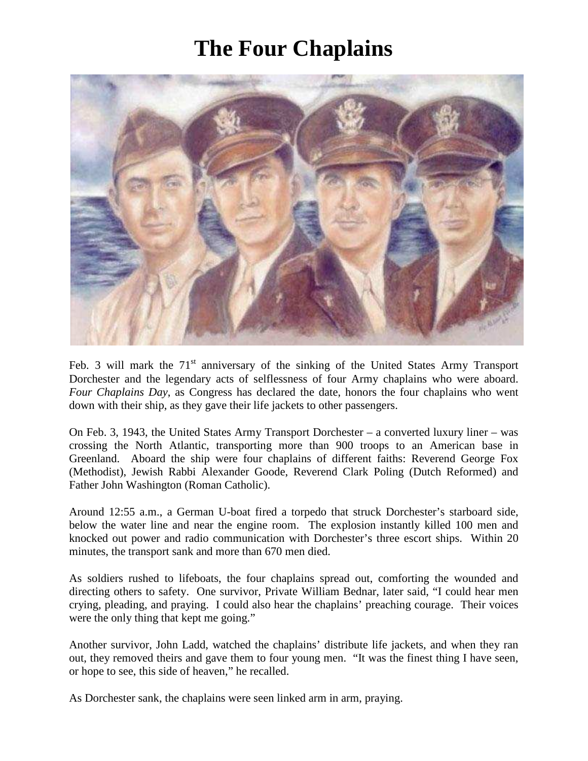## **The Four Chaplains**



Feb. 3 will mark the  $71<sup>st</sup>$  anniversary of the sinking of the United States Army Transport Dorchester and the legendary acts of selflessness of four Army chaplains who were aboard. *Four Chaplains Day*, as Congress has declared the date, honors the four chaplains who went down with their ship, as they gave their life jackets to other passengers.

On Feb. 3, 1943, the United States Army Transport Dorchester – a converted luxury liner – was crossing the North Atlantic, transporting more than 900 troops to an American base in Greenland. Aboard the ship were four chaplains of different faiths: Reverend George Fox (Methodist), Jewish Rabbi Alexander Goode, Reverend Clark Poling (Dutch Reformed) and Father John Washington (Roman Catholic).

Around 12:55 a.m., a German U-boat fired a torpedo that struck Dorchester's starboard side, below the water line and near the engine room. The explosion instantly killed 100 men and knocked out power and radio communication with Dorchester's three escort ships. Within 20 minutes, the transport sank and more than 670 men died.

As soldiers rushed to lifeboats, the four chaplains spread out, comforting the wounded and directing others to safety. One survivor, Private William Bednar, later said, "I could hear men crying, pleading, and praying. I could also hear the chaplains' preaching courage. Their voices were the only thing that kept me going."

Another survivor, John Ladd, watched the chaplains' distribute life jackets, and when they ran out, they removed theirs and gave them to four young men. "It was the finest thing I have seen, or hope to see, this side of heaven," he recalled.

As Dorchester sank, the chaplains were seen linked arm in arm, praying.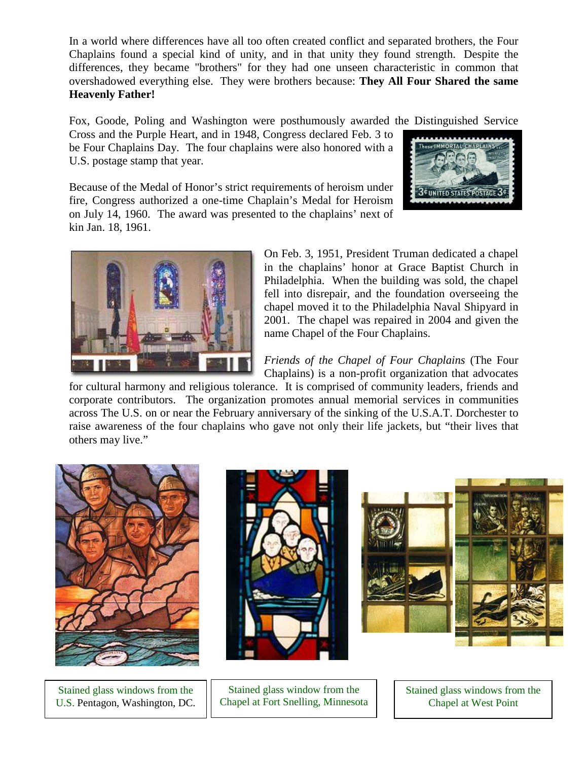In a world where differences have all too often created conflict and separated brothers, the Four Chaplains found a special kind of unity, and in that unity they found strength. Despite the differences, they became "brothers" for they had one unseen characteristic in common that overshadowed everything else. They were brothers because: **They All Four Shared the same Heavenly Father!**

Fox, Goode, Poling and Washington were posthumously awarded the Distinguished Service

Cross and the Purple Heart, and in 1948, Congress declared Feb. 3 to be Four Chaplains Day. The four chaplains were also honored with a U.S. postage stamp that year.



Because of the Medal of Honor's strict requirements of heroism under fire, Congress authorized a one-time Chaplain's Medal for Heroism on July 14, 1960. The award was presented to the chaplains' next of kin Jan. 18, 1961.



On Feb. 3, 1951, President Truman dedicated a chapel in the chaplains' honor at Grace Baptist Church in Philadelphia. When the building was sold, the chapel fell into disrepair, and the foundation overseeing the chapel moved it to the Philadelphia Naval Shipyard in 2001. The chapel was repaired in 2004 and given the name Chapel of the Four Chaplains.

*Friends of the Chapel of Four Chaplains* (The Four Chaplains) is a non-profit organization that advocates

for cultural harmony and religious tolerance. It is comprised of community leaders, friends and corporate contributors. The organization promotes annual memorial services in communities across The U.S. on or near the February anniversary of the sinking of the U.S.A.T. Dorchester to raise awareness of the four chaplains who gave not only their life jackets, but "their lives that others may live."



Stained glass windows from the U.S. Pentagon, Washington, DC.



Stained glass window from the Chapel at Fort Snelling, Minnesota



Stained glass windows from the Chapel at West Point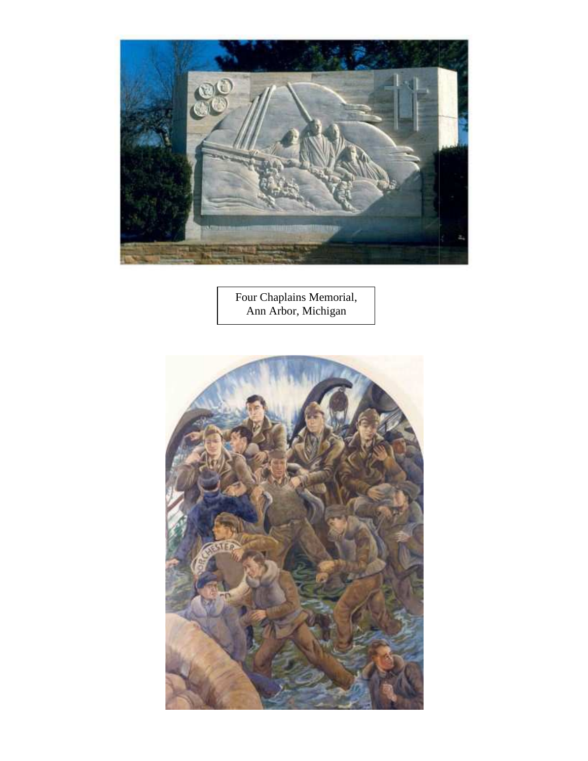

Four Chaplains Memorial, Ann Arbor, Michigan